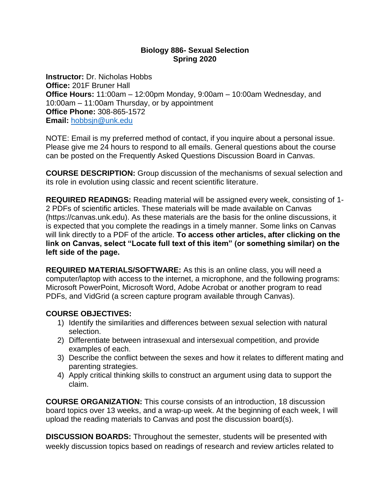### **Biology 886- Sexual Selection Spring 2020**

**Instructor:** Dr. Nicholas Hobbs **Office:** 201F Bruner Hall **Office Hours:** 11:00am – 12:00pm Monday, 9:00am – 10:00am Wednesday, and 10:00am – 11:00am Thursday, or by appointment **Office Phone:** 308-865-1572 **Email:** [hobbsjn@unk.edu](mailto:hobbsjn@unk.edu)

NOTE: Email is my preferred method of contact, if you inquire about a personal issue. Please give me 24 hours to respond to all emails. General questions about the course can be posted on the Frequently Asked Questions Discussion Board in Canvas.

**COURSE DESCRIPTION:** Group discussion of the mechanisms of sexual selection and its role in evolution using classic and recent scientific literature.

**REQUIRED READINGS:** Reading material will be assigned every week, consisting of 1- 2 PDFs of scientific articles. These materials will be made available on Canvas (https://canvas.unk.edu). As these materials are the basis for the online discussions, it is expected that you complete the readings in a timely manner. Some links on Canvas will link directly to a PDF of the article. **To access other articles, after clicking on the link on Canvas, select "Locate full text of this item" (or something similar) on the left side of the page.**

**REQUIRED MATERIALS/SOFTWARE:** As this is an online class, you will need a computer/laptop with access to the internet, a microphone, and the following programs: Microsoft PowerPoint, Microsoft Word, Adobe Acrobat or another program to read PDFs, and VidGrid (a screen capture program available through Canvas).

# **COURSE OBJECTIVES:**

- 1) Identify the similarities and differences between sexual selection with natural selection.
- 2) Differentiate between intrasexual and intersexual competition, and provide examples of each.
- 3) Describe the conflict between the sexes and how it relates to different mating and parenting strategies.
- 4) Apply critical thinking skills to construct an argument using data to support the claim.

**COURSE ORGANIZATION:** This course consists of an introduction, 18 discussion board topics over 13 weeks, and a wrap-up week. At the beginning of each week, I will upload the reading materials to Canvas and post the discussion board(s).

**DISCUSSION BOARDS:** Throughout the semester, students will be presented with weekly discussion topics based on readings of research and review articles related to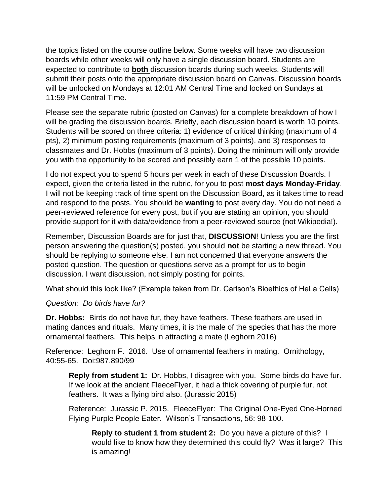the topics listed on the course outline below. Some weeks will have two discussion boards while other weeks will only have a single discussion board. Students are expected to contribute to **both** discussion boards during such weeks. Students will submit their posts onto the appropriate discussion board on Canvas. Discussion boards will be unlocked on Mondays at 12:01 AM Central Time and locked on Sundays at 11:59 PM Central Time.

Please see the separate rubric (posted on Canvas) for a complete breakdown of how I will be grading the discussion boards. Briefly, each discussion board is worth 10 points. Students will be scored on three criteria: 1) evidence of critical thinking (maximum of 4 pts), 2) minimum posting requirements (maximum of 3 points), and 3) responses to classmates and Dr. Hobbs (maximum of 3 points). Doing the minimum will only provide you with the opportunity to be scored and possibly earn 1 of the possible 10 points.

I do not expect you to spend 5 hours per week in each of these Discussion Boards. I expect, given the criteria listed in the rubric, for you to post **most days Monday-Friday**. I will not be keeping track of time spent on the Discussion Board, as it takes time to read and respond to the posts. You should be **wanting** to post every day. You do not need a peer-reviewed reference for every post, but if you are stating an opinion, you should provide support for it with data/evidence from a peer-reviewed source (not Wikipedia!).

Remember, Discussion Boards are for just that, **DISCUSSION**! Unless you are the first person answering the question(s) posted, you should **not** be starting a new thread. You should be replying to someone else. I am not concerned that everyone answers the posted question. The question or questions serve as a prompt for us to begin discussion. I want discussion, not simply posting for points.

What should this look like? (Example taken from Dr. Carlson's Bioethics of HeLa Cells)

# *Question: Do birds have fur?*

**Dr. Hobbs:** Birds do not have fur, they have feathers. These feathers are used in mating dances and rituals. Many times, it is the male of the species that has the more ornamental feathers. This helps in attracting a mate (Leghorn 2016)

Reference: Leghorn F. 2016. Use of ornamental feathers in mating. Ornithology, 40:55-65. Doi:987.890/99

**Reply from student 1:** Dr. Hobbs, I disagree with you. Some birds do have fur. If we look at the ancient FleeceFlyer, it had a thick covering of purple fur, not feathers. It was a flying bird also. (Jurassic 2015)

Reference: Jurassic P. 2015. FleeceFlyer: The Original One-Eyed One-Horned Flying Purple People Eater. Wilson's Transactions, 56: 98-100.

**Reply to student 1 from student 2:** Do you have a picture of this? I would like to know how they determined this could fly? Was it large? This is amazing!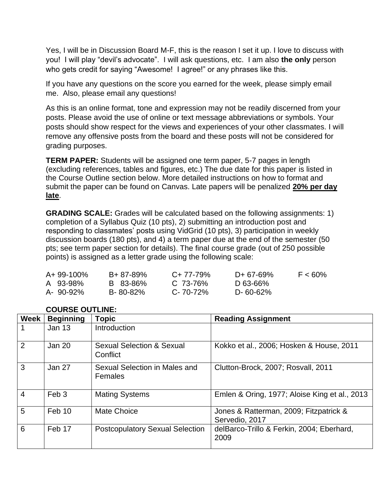Yes, I will be in Discussion Board M-F, this is the reason I set it up. I love to discuss with you! I will play "devil's advocate". I will ask questions, etc. I am also **the only** person who gets credit for saying "Awesome! I agree!" or any phrases like this.

If you have any questions on the score you earned for the week, please simply email me. Also, please email any questions!

As this is an online format, tone and expression may not be readily discerned from your posts. Please avoid the use of online or text message abbreviations or symbols. Your posts should show respect for the views and experiences of your other classmates. I will remove any offensive posts from the board and these posts will not be considered for grading purposes.

**TERM PAPER:** Students will be assigned one term paper, 5-7 pages in length (excluding references, tables and figures, etc.) The due date for this paper is listed in the Course Outline section below. More detailed instructions on how to format and submit the paper can be found on Canvas. Late papers will be penalized **20% per day late**.

**GRADING SCALE:** Grades will be calculated based on the following assignments: 1) completion of a Syllabus Quiz (10 pts), 2) submitting an introduction post and responding to classmates' posts using VidGrid (10 pts), 3) participation in weekly discussion boards (180 pts), and 4) a term paper due at the end of the semester (50 pts; see term paper section for details). The final course grade (out of 250 possible points) is assigned as a letter grade using the following scale:

| A+ 99-100% | $B + 87 - 89%$ | $C+77-79\%$     | D+ 67-69% | $F < 60\%$ |
|------------|----------------|-----------------|-----------|------------|
| A 93-98%   | B 83-86%       | $C.73-76%$      | D 63-66%  |            |
| A-90-92%   | B-80-82%       | $C - 70 - 72\%$ | D-60-62%  |            |

| <b>Week</b>    | <b>Beginning</b> | <b>Topic</b>                                     | <b>Reading Assignment</b>                                |
|----------------|------------------|--------------------------------------------------|----------------------------------------------------------|
|                | Jan 13           | Introduction                                     |                                                          |
| 2              | Jan 20           | <b>Sexual Selection &amp; Sexual</b><br>Conflict | Kokko et al., 2006; Hosken & House, 2011                 |
| 3              | Jan 27           | Sexual Selection in Males and<br><b>Females</b>  | Clutton-Brock, 2007; Rosvall, 2011                       |
| $\overline{4}$ | Feb <sub>3</sub> | <b>Mating Systems</b>                            | Emlen & Oring, 1977; Aloise King et al., 2013            |
| 5              | Feb 10           | <b>Mate Choice</b>                               | Jones & Ratterman, 2009; Fitzpatrick &<br>Servedio, 2017 |
| 6              | Feb 17           | <b>Postcopulatory Sexual Selection</b>           | delBarco-Trillo & Ferkin, 2004; Eberhard,<br>2009        |

# **COURSE OUTLINE:**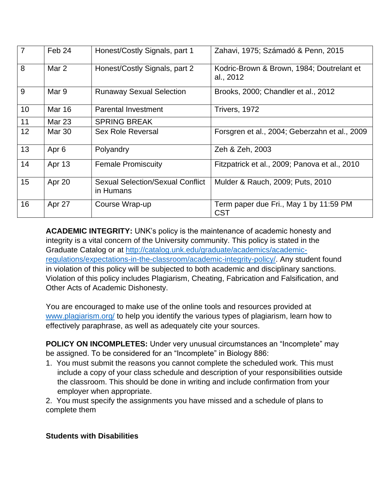| $\overline{7}$  | Feb 24           | Honest/Costly Signals, part 1                        | Zahavi, 1975; Számadó & Penn, 2015                     |
|-----------------|------------------|------------------------------------------------------|--------------------------------------------------------|
| 8               | Mar 2            | Honest/Costly Signals, part 2                        | Kodric-Brown & Brown, 1984; Doutrelant et<br>al., 2012 |
| 9               | Mar 9            | <b>Runaway Sexual Selection</b>                      | Brooks, 2000; Chandler et al., 2012                    |
| 10 <sup>1</sup> | <b>Mar 16</b>    | Parental Investment                                  | Trivers, 1972                                          |
| 11              | <b>Mar 23</b>    | <b>SPRING BREAK</b>                                  |                                                        |
| 12              | Mar 30           | Sex Role Reversal                                    | Forsgren et al., 2004; Geberzahn et al., 2009          |
| 13              | Apr <sub>6</sub> | Polyandry                                            | Zeh & Zeh, 2003                                        |
| 14              | Apr 13           | <b>Female Promiscuity</b>                            | Fitzpatrick et al., 2009; Panova et al., 2010          |
| 15              | Apr 20           | <b>Sexual Selection/Sexual Conflict</b><br>in Humans | Mulder & Rauch, 2009; Puts, 2010                       |
| 16              | Apr 27           | Course Wrap-up                                       | Term paper due Fri., May 1 by 11:59 PM<br><b>CST</b>   |

**ACADEMIC INTEGRITY:** UNK's policy is the maintenance of academic honesty and integrity is a vital concern of the University community. This policy is stated in the Graduate Catalog or at [http://catalog.unk.edu/graduate/academics/academic](http://catalog.unk.edu/graduate/academics/academic-regulations/expectations-in-the-classroom/academic-integrity-policy/)[regulations/expectations-in-the-classroom/academic-integrity-policy/.](http://catalog.unk.edu/graduate/academics/academic-regulations/expectations-in-the-classroom/academic-integrity-policy/) Any student found in violation of this policy will be subjected to both academic and disciplinary sanctions. Violation of this policy includes Plagiarism, Cheating, Fabrication and Falsification, and Other Acts of Academic Dishonesty.

You are encouraged to make use of the online tools and resources provided at [www.plagiarism.org/](http://www.plagiarism.org/) to help you identify the various types of plagiarism, learn how to effectively paraphrase, as well as adequately cite your sources.

**POLICY ON INCOMPLETES:** Under very unusual circumstances an "Incomplete" may be assigned. To be considered for an "Incomplete" in Biology 886:

1. You must submit the reasons you cannot complete the scheduled work. This must include a copy of your class schedule and description of your responsibilities outside the classroom. This should be done in writing and include confirmation from your employer when appropriate.

2. You must specify the assignments you have missed and a schedule of plans to complete them

### **Students with Disabilities**